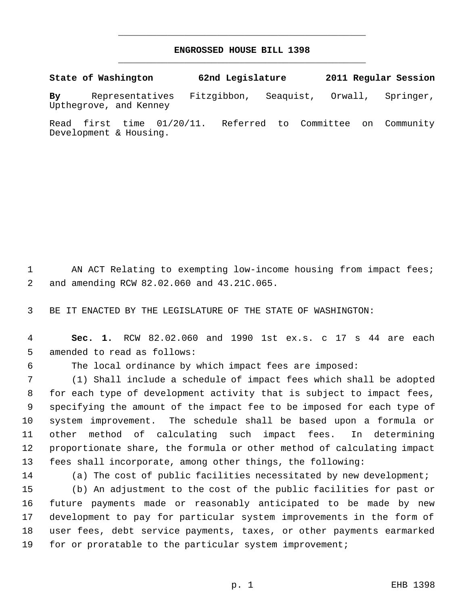## **ENGROSSED HOUSE BILL 1398** \_\_\_\_\_\_\_\_\_\_\_\_\_\_\_\_\_\_\_\_\_\_\_\_\_\_\_\_\_\_\_\_\_\_\_\_\_\_\_\_\_\_\_\_\_

\_\_\_\_\_\_\_\_\_\_\_\_\_\_\_\_\_\_\_\_\_\_\_\_\_\_\_\_\_\_\_\_\_\_\_\_\_\_\_\_\_\_\_\_\_

**State of Washington 62nd Legislature 2011 Regular Session By** Representatives Fitzgibbon, Seaquist, Orwall, Springer, Upthegrove, and Kenney

Read first time 01/20/11. Referred to Committee on Community Development & Housing.

1 AN ACT Relating to exempting low-income housing from impact fees; and amending RCW 82.02.060 and 43.21C.065.

BE IT ENACTED BY THE LEGISLATURE OF THE STATE OF WASHINGTON:

 **Sec. 1.** RCW 82.02.060 and 1990 1st ex.s. c 17 s 44 are each amended to read as follows:

The local ordinance by which impact fees are imposed:

 (1) Shall include a schedule of impact fees which shall be adopted for each type of development activity that is subject to impact fees, specifying the amount of the impact fee to be imposed for each type of system improvement. The schedule shall be based upon a formula or other method of calculating such impact fees. In determining proportionate share, the formula or other method of calculating impact fees shall incorporate, among other things, the following:

(a) The cost of public facilities necessitated by new development;

 (b) An adjustment to the cost of the public facilities for past or future payments made or reasonably anticipated to be made by new development to pay for particular system improvements in the form of user fees, debt service payments, taxes, or other payments earmarked for or proratable to the particular system improvement;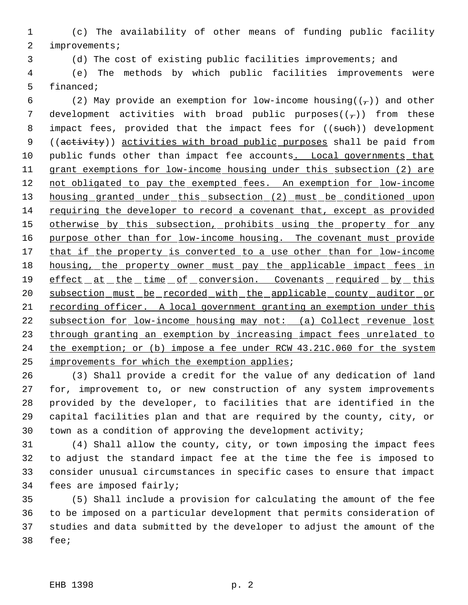1 (c) The availability of other means of funding public facility 2 improvements;

3 (d) The cost of existing public facilities improvements; and

 4 (e) The methods by which public facilities improvements were 5 financed;

6 (2) May provide an exemption for low-income housing( $(\tau)$ ) and other 7 development activities with broad public purposes $((-))$  from these 8 impact fees, provided that the impact fees for ((such)) development 9 ((activity)) activities with broad public purposes shall be paid from 10 public funds other than impact fee accounts. Local governments that 11 grant exemptions for low-income housing under this subsection (2) are 12 not obligated to pay the exempted fees. An exemption for low-income 13 housing granted under this subsection (2) must be conditioned upon 14 requiring the developer to record a covenant that, except as provided 15 otherwise by this subsection, prohibits using the property for any 16 purpose other than for low-income housing. The covenant must provide 17 that if the property is converted to a use other than for low-income 18 housing, the property owner must pay the applicable impact fees in 19 effect at the time of conversion. Covenants required by this 20 subsection must be recorded with the applicable county auditor or 21 recording officer. A local government granting an exemption under this 22 subsection for low-income housing may not: (a) Collect revenue lost 23 through granting an exemption by increasing impact fees unrelated to 24 the exemption; or (b) impose a fee under RCW 43.21C.060 for the system 25 improvements for which the exemption applies;

 (3) Shall provide a credit for the value of any dedication of land for, improvement to, or new construction of any system improvements provided by the developer, to facilities that are identified in the capital facilities plan and that are required by the county, city, or town as a condition of approving the development activity;

 (4) Shall allow the county, city, or town imposing the impact fees to adjust the standard impact fee at the time the fee is imposed to consider unusual circumstances in specific cases to ensure that impact fees are imposed fairly;

 (5) Shall include a provision for calculating the amount of the fee to be imposed on a particular development that permits consideration of studies and data submitted by the developer to adjust the amount of the 38 fee;